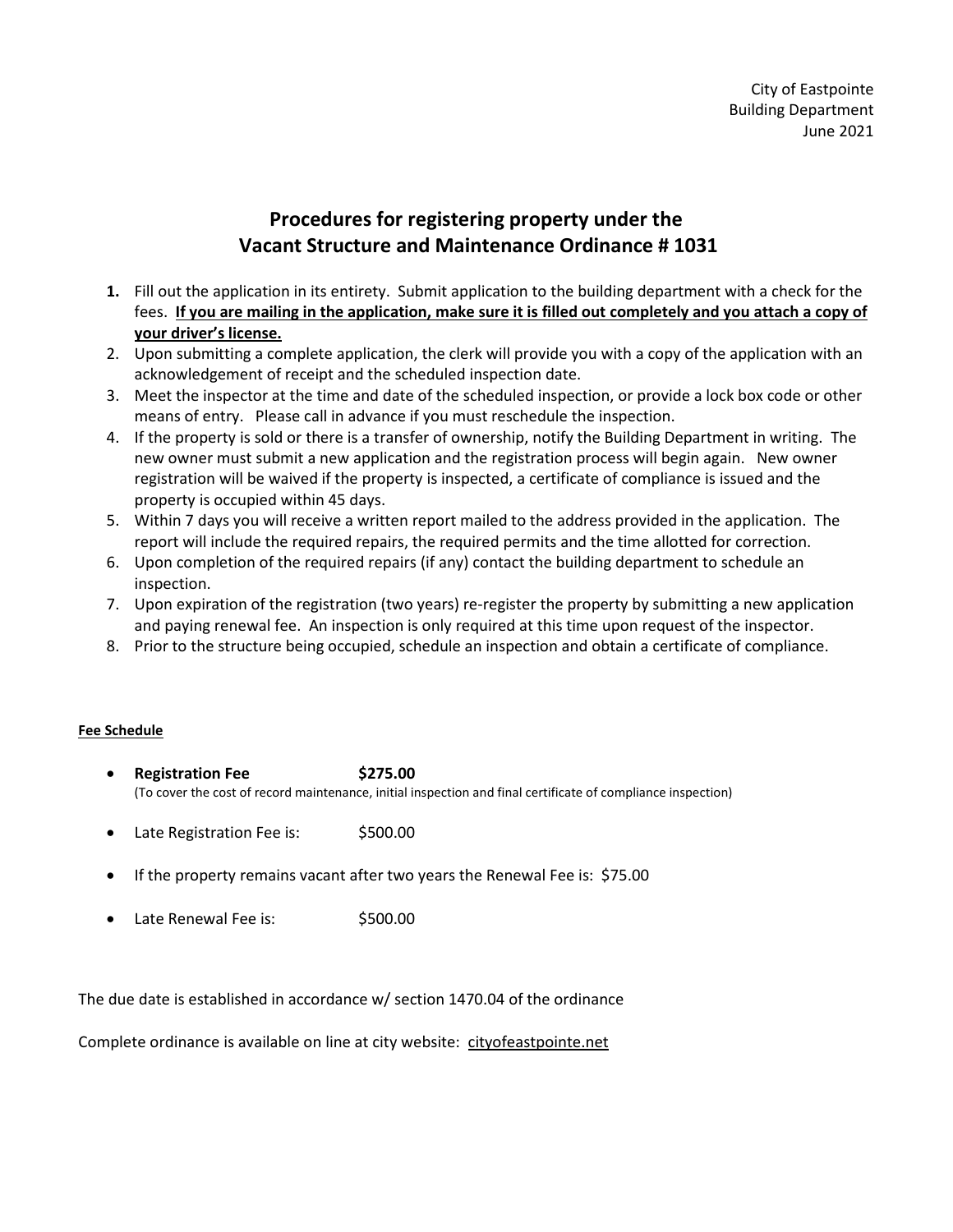## **Procedures for registering property under the Vacant Structure and Maintenance Ordinance # 1031**

- **1.** Fill out the application in its entirety. Submit application to the building department with a check for the fees. **If you are mailing in the application, make sure it is filled out completely and you attach a copy of your driver's license.**
- 2. Upon submitting a complete application, the clerk will provide you with a copy of the application with an acknowledgement of receipt and the scheduled inspection date.
- 3. Meet the inspector at the time and date of the scheduled inspection, or provide a lock box code or other means of entry. Please call in advance if you must reschedule the inspection.
- 4. If the property is sold or there is a transfer of ownership, notify the Building Department in writing. The new owner must submit a new application and the registration process will begin again. New owner registration will be waived if the property is inspected, a certificate of compliance is issued and the property is occupied within 45 days.
- 5. Within 7 days you will receive a written report mailed to the address provided in the application. The report will include the required repairs, the required permits and the time allotted for correction.
- 6. Upon completion of the required repairs (if any) contact the building department to schedule an inspection.
- 7. Upon expiration of the registration (two years) re-register the property by submitting a new application and paying renewal fee. An inspection is only required at this time upon request of the inspector.
- 8. Prior to the structure being occupied, schedule an inspection and obtain a certificate of compliance.

## **Fee Schedule**

- **Registration Fee \$275.00** (To cover the cost of record maintenance, initial inspection and final certificate of compliance inspection)
- Late Registration Fee is: \$500.00
- If the property remains vacant after two years the Renewal Fee is: \$75.00
- Late Renewal Fee is:  $$500.00$

The due date is established in accordance w/ section 1470.04 of the ordinance

Complete ordinance is available on line at city website: cityofeastpointe.net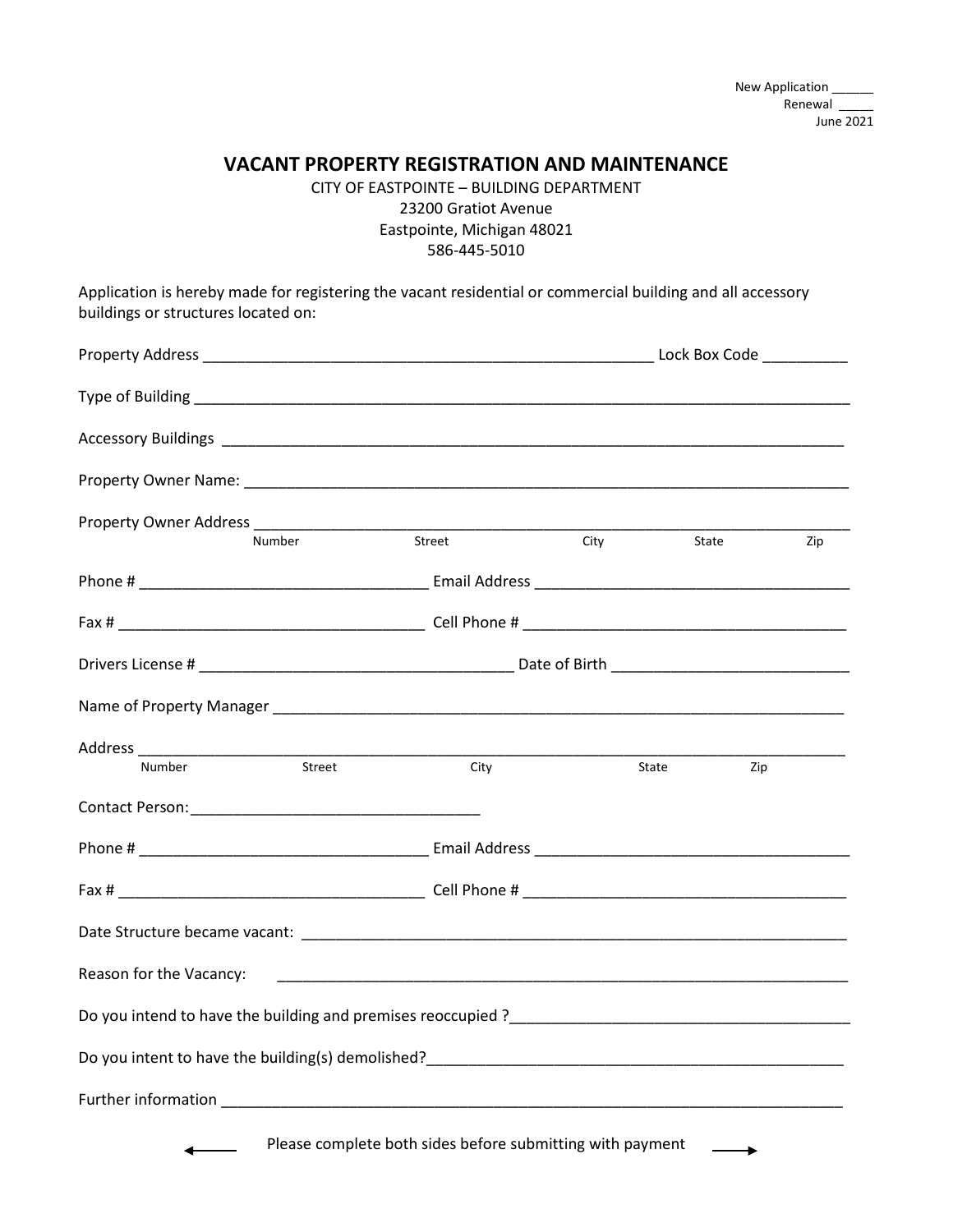## **VACANT PROPERTY REGISTRATION AND MAINTENANCE**

CITY OF EASTPOINTE – BUILDING DEPARTMENT 23200 Gratiot Avenue Eastpointe, Michigan 48021 586-445-5010

Application is hereby made for registering the vacant residential or commercial building and all accessory buildings or structures located on:

| Property Owner Address _____________________ |        |                                                           |             |                    |     |
|----------------------------------------------|--------|-----------------------------------------------------------|-------------|--------------------|-----|
|                                              | Number | Street                                                    | <b>City</b> | State              | Zip |
|                                              |        |                                                           |             |                    |     |
|                                              |        |                                                           |             |                    |     |
|                                              |        |                                                           |             |                    |     |
|                                              |        |                                                           |             |                    |     |
|                                              |        |                                                           |             |                    |     |
|                                              |        | City                                                      |             | <b>State State</b> | Zip |
|                                              |        |                                                           |             |                    |     |
|                                              |        |                                                           |             |                    |     |
|                                              |        |                                                           |             |                    |     |
|                                              |        |                                                           |             |                    |     |
| Reason for the Vacancy:                      |        |                                                           |             |                    |     |
|                                              |        |                                                           |             |                    |     |
|                                              |        |                                                           |             |                    |     |
|                                              |        |                                                           |             |                    |     |
|                                              |        | Please complete both sides before submitting with payment |             |                    |     |